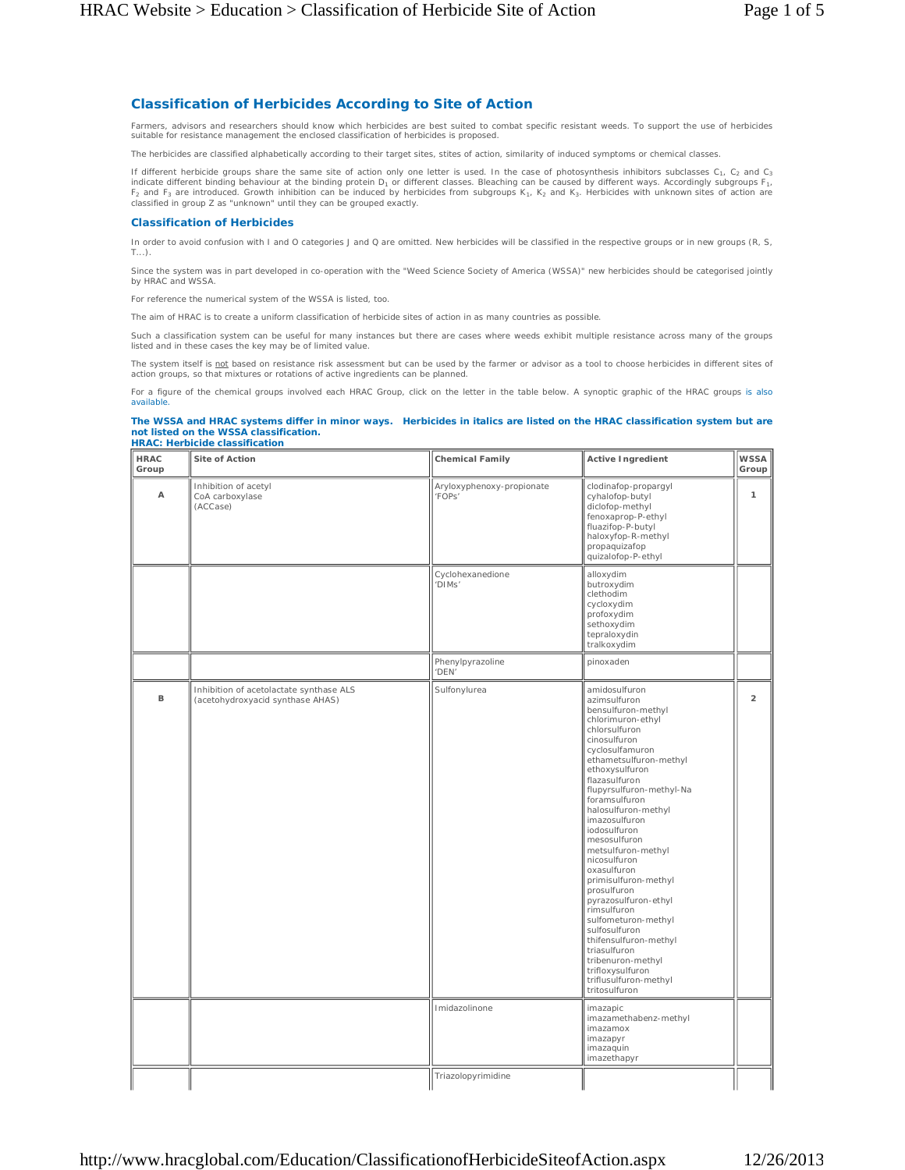## **Classification of Herbicides According to Site of Action**

Farmers, advisors and researchers should know which herbicides are best suited to combat specific resistant weeds. To support the use of herbicides suitable for resistance management the enclosed classification of herbicides is proposed.

The herbicides are classified alphabetically according to their target sites, stites of action, similarity of induced symptoms or chemical classes.

If different herbicide groups share the same site of action only one letter is used. In the case of photosynthesis inhibitors subclasses  $C_1$ ,  $C_2$  and  $C_3$ indicate different binding behaviour at the binding protein  $D_1$  or different classes. Bleaching can be caused by different ways. Accordingly subgroups  $F_1$ ,  $F_2$  and  $F_3$  are introduced. Growth inhibition can be induced by herbicides from subgroups  $K_1$ ,  $K_2$  and  $K_3$ . Herbicides with unknown sites of action are classified in group Z as "unknown" until they can be grouped exactly.

## **Classification of Herbicides**

In order to avoid confusion with I and O categories J and Q are omitted. New herbicides will be classified in the respective groups or in new groups (R, S, T...).

Since the system was in part developed in co-operation with the "Weed Science Society of America (WSSA)" new herbicides should be categorised jointly by HRAC and WSSA.

*For reference the numerical system of the WSSA is listed, too.*

The aim of HRAC is to create a uniform classification of herbicide sites of action in as many countries as possible.

Such a classification system can be useful for many instances but there are cases where weeds exhibit multiple resistance across many of the groups listed and in these cases the key may be of limited value.

The system itself is *not* based on resistance risk assessment but can be used by the farmer or advisor as a tool to choose herbicides in different sites of action groups, so that mixtures or rotations of active ingredients can be planned.

For a figure of the chemical groups involved each HRAC Group, click on the letter in the table below. A synoptic graphic of the HRAC groups is also available.

## **The WSSA and HRAC systems differ in minor ways. Herbicides in** *italics* **are listed on the HRAC classification system but are not listed on the WSSA classification. HRAC: Herbicide classification**

| <b>HRAC</b><br>Group | Site of Action                                                              | <b>Chemical Family</b>              | <b>Active Ingredient</b>                                                                                                                                                                                                                                                                                                                                                                                                                                                                                                                                                                                              | WSSA<br>Group  |
|----------------------|-----------------------------------------------------------------------------|-------------------------------------|-----------------------------------------------------------------------------------------------------------------------------------------------------------------------------------------------------------------------------------------------------------------------------------------------------------------------------------------------------------------------------------------------------------------------------------------------------------------------------------------------------------------------------------------------------------------------------------------------------------------------|----------------|
| Α                    | Inhibition of acetyl<br>CoA carboxylase<br>(ACCase)                         | Aryloxyphenoxy-propionate<br>'FOPs' | clodinafop-propargyl<br>cyhalofop-butyl<br>diclofop-methyl<br>fenoxaprop-P-ethyl<br>fluazifop-P-butyl<br>haloxyfop-R-methyl<br>propaquizafop<br>quizalofop-P-ethyl                                                                                                                                                                                                                                                                                                                                                                                                                                                    | 1              |
|                      |                                                                             | Cyclohexanedione<br>'DIMs'          | alloxydim<br>butroxydim<br>clethodim<br>cycloxydim<br>profoxydim<br>sethoxydim<br>tepraloxydin<br>tralkoxydim                                                                                                                                                                                                                                                                                                                                                                                                                                                                                                         |                |
|                      |                                                                             | Phenylpyrazoline<br>'DEN'           | pinoxaden                                                                                                                                                                                                                                                                                                                                                                                                                                                                                                                                                                                                             |                |
| $\mathsf B$          | Inhibition of acetolactate synthase ALS<br>(acetohydroxyacid synthase AHAS) | Sulfonylurea                        | amidosulfuron<br>azimsulfuron<br>bensulfuron-methyl<br>chlorimuron-ethyl<br>chlorsulfuron<br>cinosulfuron<br>cyclosulfamuron<br>ethametsulfuron-methyl<br>ethoxysulfuron<br>flazasulfuron<br>flupyrsulfuron-methyl-Na<br>foramsulfuron<br>halosulfuron-methyl<br>imazosulfuron<br>iodosulfuron<br>mesosulfuron<br>metsulfuron-methyl<br>nicosulfuron<br>oxasulfuron<br>primisulfuron-methyl<br>prosulfuron<br>pyrazosulfuron-ethyl<br>rimsulfuron<br>sulfometuron-methyl<br>sulfosulfuron<br>thifensulfuron-methyl<br>triasulfuron<br>tribenuron-methyl<br>trifloxysulfuron<br>triflusulfuron-methyl<br>tritosulfuron | $\overline{a}$ |
|                      |                                                                             | Imidazolinone                       | imazapic<br>imazamethabenz-methyl<br>imazamox<br>imazapyr<br>imazaquin<br>imazethapyr                                                                                                                                                                                                                                                                                                                                                                                                                                                                                                                                 |                |
|                      |                                                                             | Triazolopyrimidine                  |                                                                                                                                                                                                                                                                                                                                                                                                                                                                                                                                                                                                                       |                |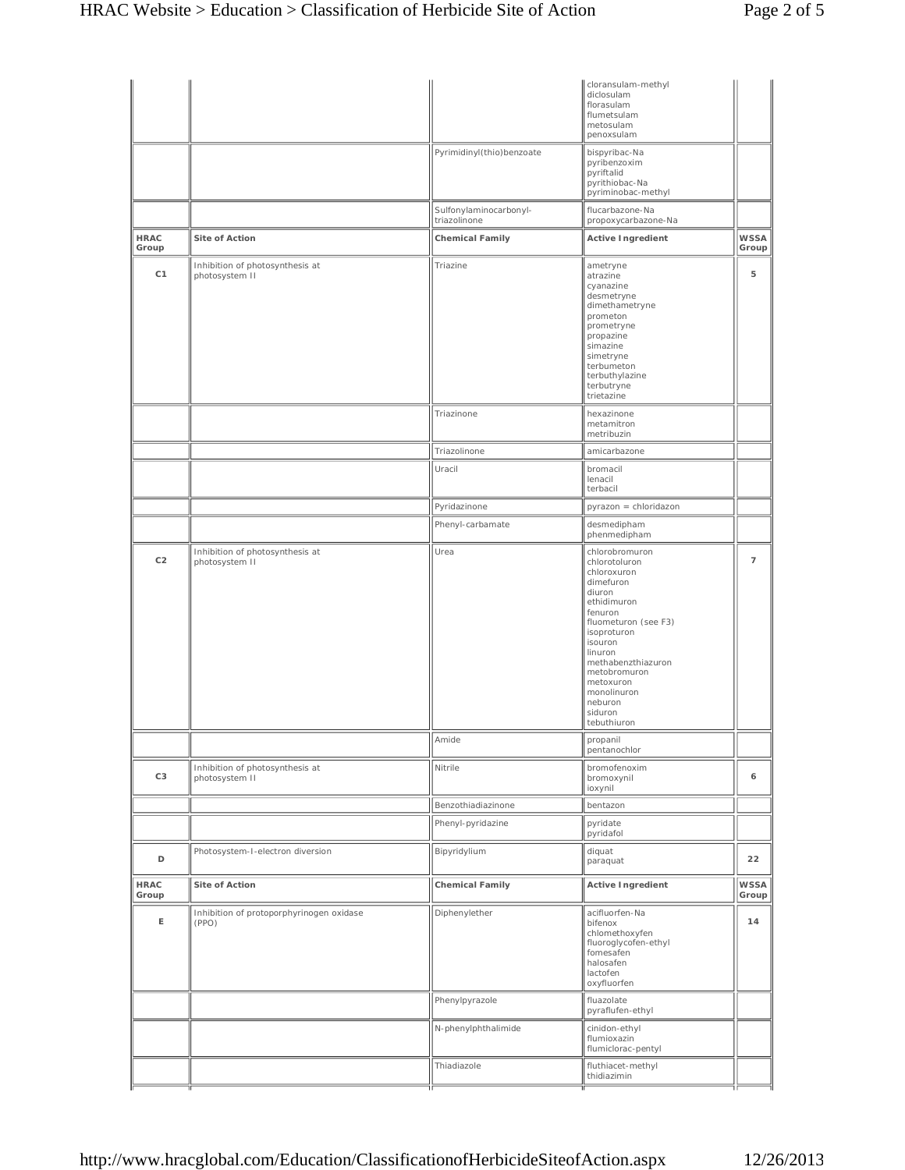|                      |                                                   |                                        | cloransulam-methyl<br>diclosulam<br>florasulam<br>flumetsulam<br>metosulam<br>penoxsulam                                                                                                                                                                            |                      |
|----------------------|---------------------------------------------------|----------------------------------------|---------------------------------------------------------------------------------------------------------------------------------------------------------------------------------------------------------------------------------------------------------------------|----------------------|
|                      |                                                   | Pyrimidinyl(thio)benzoate              | bispyribac-Na<br>pyribenzoxim<br>pyriftalid<br>pyrithiobac-Na<br>pyriminobac-methyl                                                                                                                                                                                 |                      |
|                      |                                                   | Sulfonylaminocarbonyl-<br>triazolinone | flucarbazone-Na<br>propoxycarbazone-Na                                                                                                                                                                                                                              |                      |
| <b>HRAC</b><br>Group | Site of Action                                    | <b>Chemical Family</b>                 | <b>Active Ingredient</b>                                                                                                                                                                                                                                            | <b>WSSA</b><br>Group |
| C <sub>1</sub>       | Inhibition of photosynthesis at<br>photosystem II | Triazine                               | ametryne<br>atrazine<br>cyanazine<br>desmetryne<br>dimethametryne<br>prometon<br>prometryne<br>propazine<br>simazine<br>simetryne<br>terbumeton<br>terbuthylazine<br>terbutryne<br>trietazine                                                                       | 5                    |
|                      |                                                   | Triazinone                             | hexazinone<br>metamitron<br>metribuzin                                                                                                                                                                                                                              |                      |
|                      |                                                   | Triazolinone                           | amicarbazone                                                                                                                                                                                                                                                        |                      |
|                      |                                                   | Uracil                                 | bromacil<br>lenacil<br>terbacil                                                                                                                                                                                                                                     |                      |
|                      |                                                   | Pyridazinone                           | pyrazon = chloridazon                                                                                                                                                                                                                                               |                      |
|                      |                                                   | Phenyl-carbamate                       | desmedipham<br>phenmedipham                                                                                                                                                                                                                                         |                      |
| C <sub>2</sub>       | Inhibition of photosynthesis at<br>photosystem II | Urea                                   | chlorobromuron<br>chlorotoluron<br>chloroxuron<br>dimefuron<br>diuron<br>ethidimuron<br>fenuron<br>fluometuron (see F3)<br>isoproturon<br>isouron<br>linuron<br>methabenzthiazuron<br>metobromuron<br>metoxuron<br>monolinuron<br>neburon<br>siduron<br>tebuthiuron | $\overline{7}$       |
|                      |                                                   | Amide                                  | propanil<br>pentanochlor                                                                                                                                                                                                                                            |                      |
| C <sub>3</sub>       | Inhibition of photosynthesis at<br>photosystem II | Nitrile                                | bromofenoxim<br>bromoxynil<br>ioxynil                                                                                                                                                                                                                               | 6                    |
|                      |                                                   | Benzothiadiazinone                     | bentazon                                                                                                                                                                                                                                                            |                      |
|                      |                                                   | Phenyl-pyridazine                      | pyridate<br>pyridafol                                                                                                                                                                                                                                               |                      |
| D                    | Photosystem-I-electron diversion                  | Bipyridylium                           | diquat<br>paraquat                                                                                                                                                                                                                                                  | 22                   |
| <b>HRAC</b><br>Group | Site of Action                                    | <b>Chemical Family</b>                 | <b>Active Ingredient</b>                                                                                                                                                                                                                                            | <b>WSSA</b><br>Group |
| E                    | Inhibition of protoporphyrinogen oxidase<br>(PPO) | Diphenylether                          | acifluorfen-Na<br>bifenox<br>chlomethoxyfen<br>fluoroglycofen-ethyl<br>fomesafen<br>halosafen<br>lactofen<br>oxyfluorfen                                                                                                                                            | 14                   |
|                      |                                                   | Phenylpyrazole                         | fluazolate<br>pyraflufen-ethyl                                                                                                                                                                                                                                      |                      |
|                      |                                                   | N-phenylphthalimide                    | cinidon-ethyl<br>flumioxazin<br>flumiclorac-pentyl                                                                                                                                                                                                                  |                      |
|                      |                                                   | Thiadiazole                            | fluthiacet-methyl<br>thidiazimin                                                                                                                                                                                                                                    |                      |
|                      |                                                   |                                        |                                                                                                                                                                                                                                                                     |                      |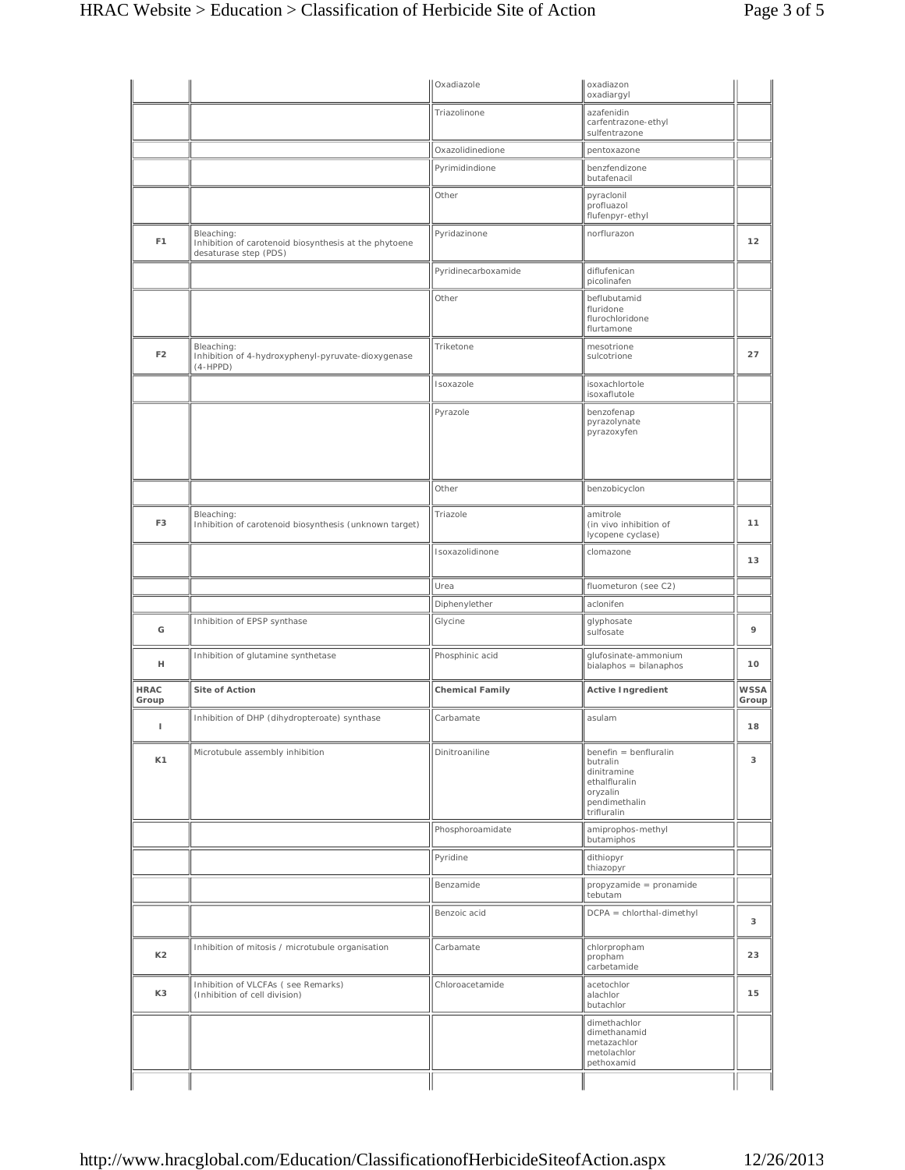|                      |                                                                                              | Oxadiazole             | oxadiazon<br>oxadiargyl                                                                                       |                      |
|----------------------|----------------------------------------------------------------------------------------------|------------------------|---------------------------------------------------------------------------------------------------------------|----------------------|
|                      |                                                                                              | Triazolinone           | azafenidin<br>carfentrazone-ethyl<br>sulfentrazone                                                            |                      |
|                      |                                                                                              | Oxazolidinedione       | pentoxazone                                                                                                   |                      |
|                      |                                                                                              | Pyrimidindione         | benzfendizone<br>butafenacil                                                                                  |                      |
|                      |                                                                                              | Other                  | pyraclonil<br>profluazol<br>flufenpyr-ethyl                                                                   |                      |
| F <sub>1</sub>       | Bleaching:<br>Inhibition of carotenoid biosynthesis at the phytoene<br>desaturase step (PDS) | Pyridazinone           | norflurazon                                                                                                   | 12                   |
|                      |                                                                                              | Pyridinecarboxamide    | diflufenican<br>picolinafen                                                                                   |                      |
|                      |                                                                                              | Other                  | beflubutamid<br>fluridone<br>flurochloridone<br>flurtamone                                                    |                      |
| F <sub>2</sub>       | Bleaching:<br>Inhibition of 4-hydroxyphenyl-pyruvate-dioxygenase<br>$(4-HPPD)$               | Triketone              | mesotrione<br>sulcotrione                                                                                     | 27                   |
|                      |                                                                                              | Isoxazole              | isoxachlortole<br>isoxaflutole                                                                                |                      |
|                      |                                                                                              | Pyrazole               | benzofenap<br>pyrazolynate<br>pyrazoxyfen                                                                     |                      |
|                      |                                                                                              | Other                  | benzobicyclon                                                                                                 |                      |
| F <sub>3</sub>       | Bleaching:<br>Inhibition of carotenoid biosynthesis (unknown target)                         | Triazole               | amitrole<br>(in vivo inhibition of<br>lycopene cyclase)                                                       | 11                   |
|                      |                                                                                              | Isoxazolidinone        | clomazone                                                                                                     | 13                   |
|                      |                                                                                              | Urea                   | fluometuron (see C2)                                                                                          |                      |
|                      |                                                                                              | Diphenylether          | aclonifen                                                                                                     |                      |
| G                    | Inhibition of EPSP synthase                                                                  | Glycine                | glyphosate<br>sulfosate                                                                                       | 9                    |
| н                    | Inhibition of glutamine synthetase                                                           | Phosphinic acid        | glufosinate-ammonium<br>$bialaphos = bilanaphos$                                                              | 10                   |
| <b>HRAC</b><br>Group | Site of Action                                                                               | <b>Chemical Family</b> | <b>Active Ingredient</b>                                                                                      | <b>WSSA</b><br>Group |
| т                    | Inhibition of DHP (dihydropteroate) synthase                                                 | Carbamate              | asulam                                                                                                        | 18                   |
| K1                   | Microtubule assembly inhibition                                                              | Dinitroaniline         | benefin = benfluralin<br>butralin<br>dinitramine<br>ethalfluralin<br>oryzalin<br>pendimethalin<br>trifluralin | 3                    |
|                      |                                                                                              | Phosphoroamidate       | amiprophos-methyl<br>butamiphos                                                                               |                      |
|                      |                                                                                              | Pyridine               | dithiopyr<br>thiazopyr                                                                                        |                      |
|                      |                                                                                              | Benzamide              | propyzamide = pronamide<br>tebutam                                                                            |                      |
|                      |                                                                                              | Benzoic acid           | $DCPA = chlorthal-dimethyl$                                                                                   | 3                    |
| K <sub>2</sub>       | Inhibition of mitosis / microtubule organisation                                             | Carbamate              | chlorpropham<br>propham<br>carbetamide                                                                        | 23                   |
| K3                   | Inhibition of VLCFAs (see Remarks)<br>(Inhibition of cell division)                          | Chloroacetamide        | acetochlor<br>alachlor<br>butachlor                                                                           | 15                   |
|                      |                                                                                              |                        | dimethachlor<br>dimethanamid<br>metazachlor<br>metolachlor<br>pethoxamid                                      |                      |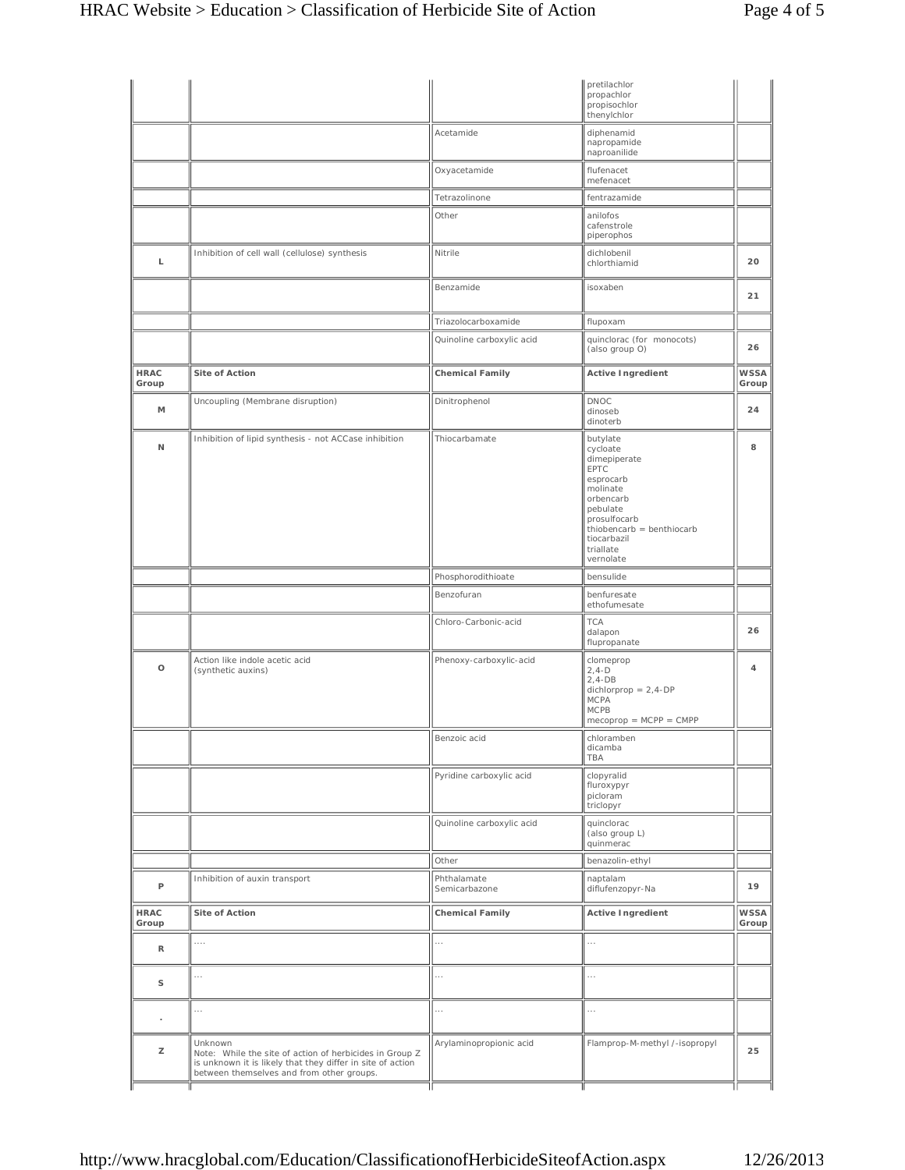|                      |                                                                                                                                                                               |                              | pretilachlor<br>propachlor<br>propisochlor<br>thenylchlor                                                                                                                            |                      |
|----------------------|-------------------------------------------------------------------------------------------------------------------------------------------------------------------------------|------------------------------|--------------------------------------------------------------------------------------------------------------------------------------------------------------------------------------|----------------------|
|                      |                                                                                                                                                                               | Acetamide                    | diphenamid<br>napropamide<br>naproanilide                                                                                                                                            |                      |
|                      |                                                                                                                                                                               | Oxyacetamide                 | flufenacet<br>mefenacet                                                                                                                                                              |                      |
|                      |                                                                                                                                                                               | Tetrazolinone                | fentrazamide                                                                                                                                                                         |                      |
|                      |                                                                                                                                                                               | Other                        | anilofos<br>cafenstrole<br>piperophos                                                                                                                                                |                      |
| L                    | Inhibition of cell wall (cellulose) synthesis                                                                                                                                 | Nitrile                      | dichlobenil<br>chlorthiamid                                                                                                                                                          | 20                   |
|                      |                                                                                                                                                                               | Benzamide                    | isoxaben                                                                                                                                                                             | 21                   |
|                      |                                                                                                                                                                               | Triazolocarboxamide          | flupoxam                                                                                                                                                                             |                      |
|                      |                                                                                                                                                                               | Quinoline carboxylic acid    | quinclorac (for monocots)<br>(also group O)                                                                                                                                          | 26                   |
| <b>HRAC</b><br>Group | Site of Action                                                                                                                                                                | <b>Chemical Family</b>       | <b>Active Ingredient</b>                                                                                                                                                             | <b>WSSA</b><br>Group |
| M                    | Uncoupling (Membrane disruption)                                                                                                                                              | Dinitrophenol                | DNOC<br>dinoseb<br>dinoterb                                                                                                                                                          | 24                   |
| N                    | Inhibition of lipid synthesis - not ACCase inhibition                                                                                                                         | Thiocarbamate                | butylate<br>cycloate<br>dimepiperate<br>EPTC<br>esprocarb<br>molinate<br>orbencarb<br>pebulate<br>prosulfocarb<br>thiobencarb = benthiocarb<br>tiocarbazil<br>triallate<br>vernolate | 8                    |
|                      |                                                                                                                                                                               | Phosphorodithioate           | bensulide                                                                                                                                                                            |                      |
|                      |                                                                                                                                                                               | Benzofuran                   | benfuresate<br>ethofumesate                                                                                                                                                          |                      |
|                      |                                                                                                                                                                               | Chloro-Carbonic-acid         | <b>TCA</b><br>dalapon<br>flupropanate                                                                                                                                                | 26                   |
| $\circ$              | Action like indole acetic acid<br>(synthetic auxins)                                                                                                                          | Phenoxy-carboxylic-acid      | clomeprop<br>$2, 4-D$<br>$2,4-DB$<br>dichlorprop = $2,4$ -DP<br>MCPA<br>MCPB<br>$mecoprop = MCPP = CMPP$                                                                             | 4                    |
|                      |                                                                                                                                                                               | Benzoic acid                 | chloramben<br>dicamba<br>TBA                                                                                                                                                         |                      |
|                      |                                                                                                                                                                               | Pyridine carboxylic acid     | clopyralid<br>fluroxypyr<br>picloram<br>triclopyr                                                                                                                                    |                      |
|                      |                                                                                                                                                                               | Quinoline carboxylic acid    | quinclorac<br>(also group L)<br>quinmerac                                                                                                                                            |                      |
|                      |                                                                                                                                                                               | Other                        | benazolin-ethyl                                                                                                                                                                      |                      |
| P                    | Inhibition of auxin transport                                                                                                                                                 | Phthalamate<br>Semicarbazone | naptalam<br>diflufenzopyr-Na                                                                                                                                                         | 19                   |
| <b>HRAC</b><br>Group | Site of Action                                                                                                                                                                | <b>Chemical Family</b>       | <b>Active Ingredient</b>                                                                                                                                                             | <b>WSSA</b><br>Group |
| R                    | $\cdots$                                                                                                                                                                      | .                            | .                                                                                                                                                                                    |                      |
| S                    | $\cdots$                                                                                                                                                                      | .                            | $\cdots$                                                                                                                                                                             |                      |
| ×,                   | .                                                                                                                                                                             | .                            | .                                                                                                                                                                                    |                      |
| z                    | Unknown<br>Note: While the site of action of herbicides in Group Z<br>is unknown it is likely that they differ in site of action<br>between themselves and from other groups. | Arylaminopropionic acid      | Flamprop-M-methyl /-isopropyl                                                                                                                                                        | 25                   |
|                      |                                                                                                                                                                               | Ш                            | Ш                                                                                                                                                                                    |                      |